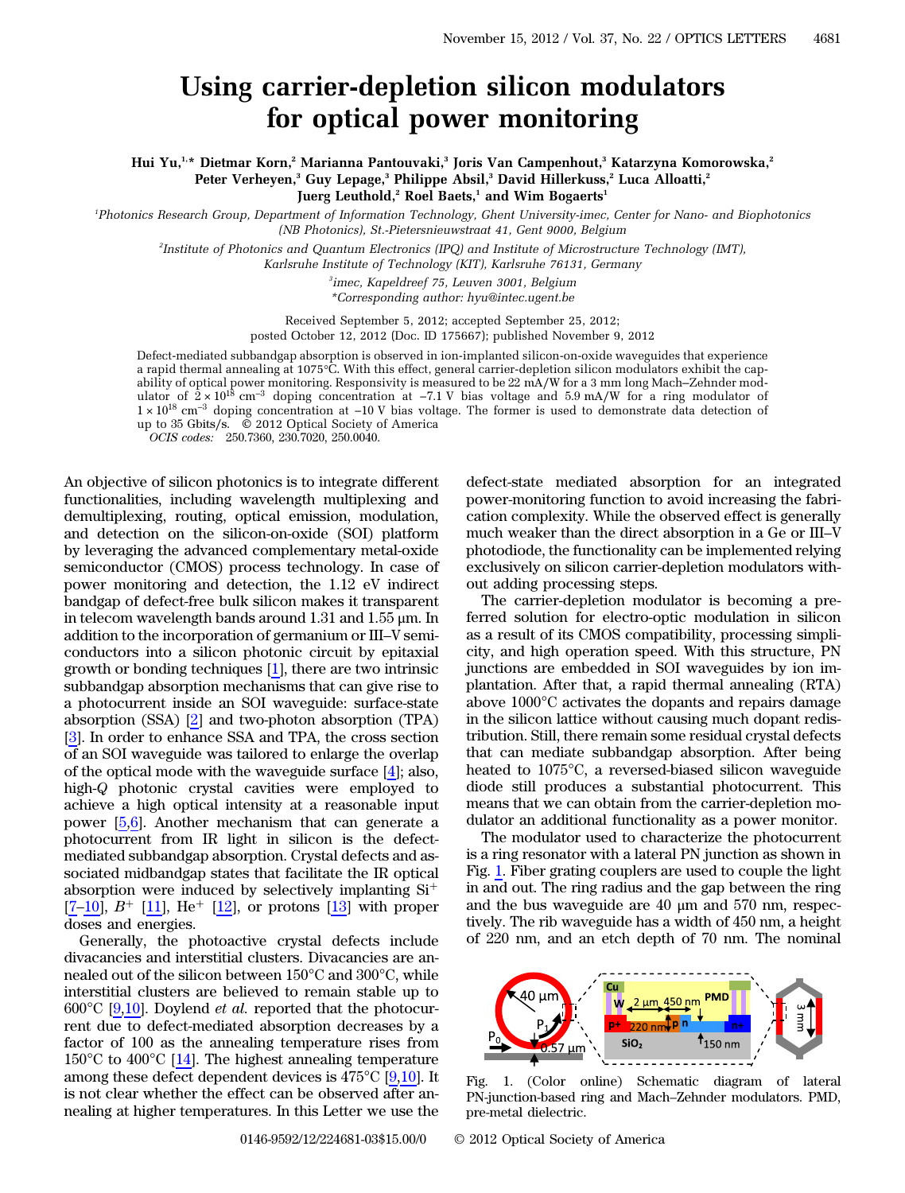## Using carrier-depletion silicon modulators for optical power monitoring

Hui Yu,<sup>1,\*</sup> Dietmar Korn,<sup>2</sup> Marianna Pantouvaki,<sup>3</sup> Joris Van Campenhout,<sup>3</sup> Katarzyna Komorowska,<sup>2</sup> Peter Verheyen,<sup>3</sup> Guy Lepage,<sup>3</sup> Philippe Absil,<sup>3</sup> David Hillerkuss,<sup>2</sup> Luca Alloatti,<sup>2</sup> Juerg Leuthold,<sup>2</sup> Roel Baets,<sup>1</sup> and Wim Bogaerts<sup>1</sup>

1 Photonics Research Group, Department of Information Technology, Ghent University-imec, Center for Nano- and Biophotonics (NB Photonics), St.-Pietersnieuwstraat 41, Gent 9000, Belgium

2 Institute of Photonics and Quantum Electronics (IPQ) and Institute of Microstructure Technology (IMT),

Karlsruhe Institute of Technology (KIT), Karlsruhe 76131, Germany

3 imec, Kapeldreef 75, Leuven 3001, Belgium \*Corresponding author: hyu@intec.ugent.be

Received September 5, 2012; accepted September 25, 2012; posted October 12, 2012 (Doc. ID 175667); published November 9, 2012

Defect-mediated subbandgap absorption is observed in ion-implanted silicon-on-oxide waveguides that experience a rapid thermal annealing at 1075°C. With this effect, general carrier-depletion silicon modulators exhibit the capability of optical power monitoring. Responsivity is measured to be 22 mA∕W for a 3 mm long Mach*–*Zehnder modulator of  $2 \times 10^{18}$  cm<sup>-3</sup> doping concentration at −7.1 V bias voltage and 5.9 mA/W for a ring modulator of 1 × 1018 cm<sup>−</sup><sup>3</sup> doping concentration at −10 V bias voltage. The former is used to demonstrate data detection of up to 35 Gbits∕s. © 2012 Optical Society of America

OCIS codes: 250.7360, 230.7020, 250.0040.

An objective of silicon photonics is to integrate different functionalities, including wavelength multiplexing and demultiplexing, routing, optical emission, modulation, and detection on the silicon-on-oxide (SOI) platform by leveraging the advanced complementary metal-oxide semiconductor (CMOS) process technology. In case of power monitoring and detection, the 1.12 eV indirect bandgap of defect-free bulk silicon makes it transparent in telecom wavelength bands around 1.31 and 1.55 μm. In addition to the incorporation of germanium or III–V semiconductors into a silicon photonic circuit by epitaxial growth or bonding techniques [\[1](#page-2-0)], there are two intrinsic subbandgap absorption mechanisms that can give rise to a photocurrent inside an SOI waveguide: surface-state absorption (SSA) [\[2](#page-2-1)] and two-photon absorption (TPA) [\[3](#page-2-2)]. In order to enhance SSA and TPA, the cross section of an SOI waveguide was tailored to enlarge the overlap of the optical mode with the waveguide surface [\[4\]](#page-2-3); also, high-Q photonic crystal cavities were employed to achieve a high optical intensity at a reasonable input power [\[5](#page-2-4),[6\]](#page-2-5). Another mechanism that can generate a photocurrent from IR light in silicon is the defectmediated subbandgap absorption. Crystal defects and associated midbandgap states that facilitate the IR optical absorption were induced by selectively implanting  $Si<sup>+</sup>$  $[7-10]$  $[7-10]$  $[7-10]$  $[7-10]$ ,  $B^+$  [\[11](#page-2-8)], He<sup>+</sup> [\[12](#page-2-9)], or protons [[13\]](#page-2-10) with proper doses and energies.

Generally, the photoactive crystal defects include divacancies and interstitial clusters. Divacancies are annealed out of the silicon between 150°C and 300°C, while interstitial clusters are believed to remain stable up to  $600^{\circ}$ C [\[9](#page-2-11),[10\]](#page-2-7). Doylend *et al.* reported that the photocurrent due to defect-mediated absorption decreases by a factor of 100 as the annealing temperature rises from 150°C to 400°C [\[14](#page-2-12)]. The highest annealing temperature among these defect dependent devices is 475°C [[9,](#page-2-11)[10](#page-2-7)]. It is not clear whether the effect can be observed after annealing at higher temperatures. In this Letter we use the

defect-state mediated absorption for an integrated power-monitoring function to avoid increasing the fabrication complexity. While the observed effect is generally much weaker than the direct absorption in a Ge or III–<sup>V</sup> photodiode, the functionality can be implemented relying exclusively on silicon carrier-depletion modulators without adding processing steps.

The carrier-depletion modulator is becoming a preferred solution for electro-optic modulation in silicon as a result of its CMOS compatibility, processing simplicity, and high operation speed. With this structure, PN junctions are embedded in SOI waveguides by ion implantation. After that, a rapid thermal annealing (RTA) above 1000°C activates the dopants and repairs damage in the silicon lattice without causing much dopant redistribution. Still, there remain some residual crystal defects that can mediate subbandgap absorption. After being heated to 1075°C, a reversed-biased silicon waveguide diode still produces a substantial photocurrent. This means that we can obtain from the carrier-depletion modulator an additional functionality as a power monitor.

The modulator used to characterize the photocurrent is a ring resonator with a lateral PN junction as shown in Fig. [1.](#page-0-0) Fiber grating couplers are used to couple the light in and out. The ring radius and the gap between the ring and the bus waveguide are 40 μm and 570 nm, respectively. The rib waveguide has a width of 450 nm, a height of 220 nm, and an etch depth of 70 nm. The nominal

<span id="page-0-0"></span>

Fig. 1. (Color online) Schematic diagram of lateral PN-junction-based ring and Mach–Zehnder modulators. PMD, pre-metal dielectric.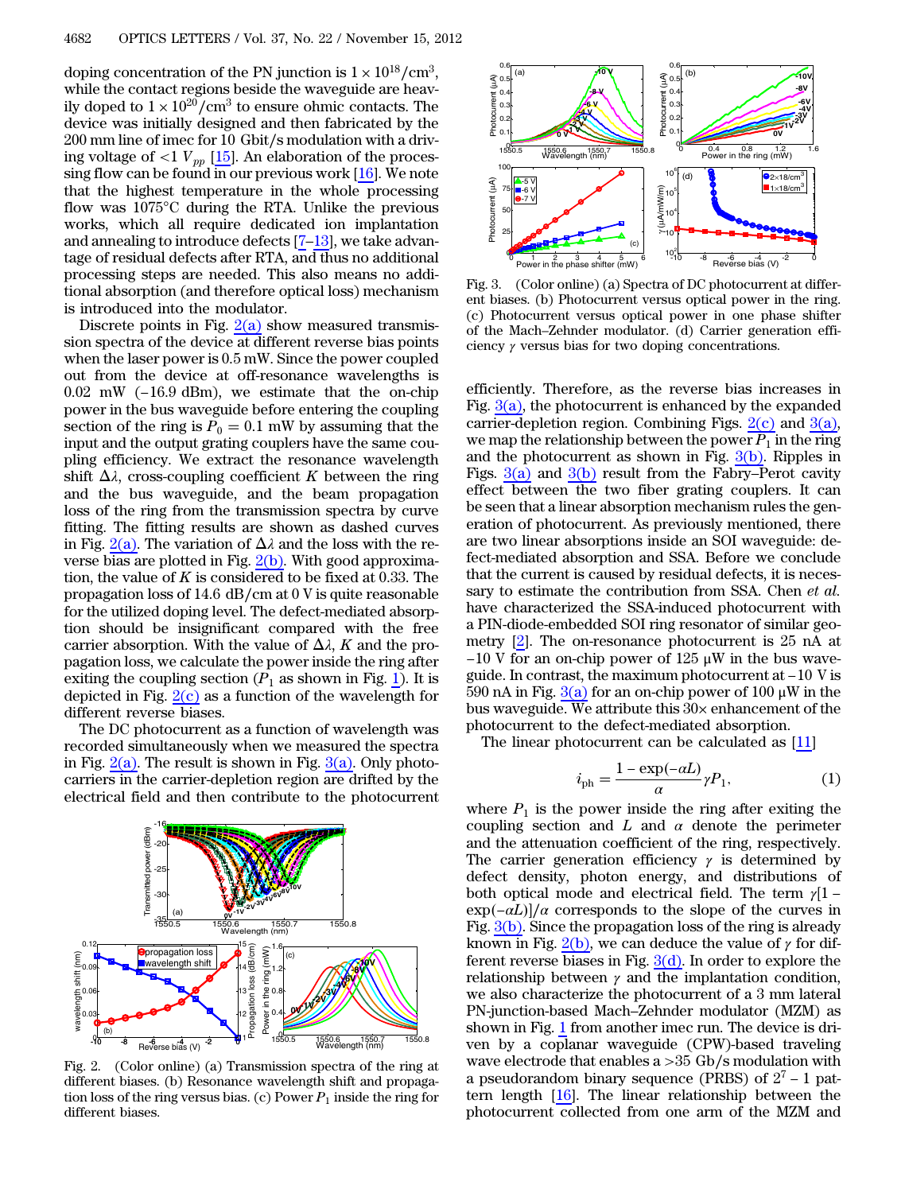doping concentration of the PN junction is  $1 \times 10^{18}/\text{cm}^3$ , while the contact regions beside the waveguide are heavily doped to  $1 \times 10^{20}$ /cm<sup>3</sup> to ensure ohmic contacts. The device was initially designed and then fabricated by the 200 mm line of imec for 10 Gbit∕s modulation with a driving voltage of  $\langle 1 V_{nn}$  [\[15](#page-2-13)]. An elaboration of the processing flow can be found in our previous work  $[16]$  $[16]$ . We note that the highest temperature in the whole processing flow was 1075°C during the RTA. Unlike the previous works, which all require dedicated ion implantation and annealing to introduce defects [[7](#page-2-6)–[13\]](#page-2-10), we take advantage of residual defects after RTA, and thus no additional processing steps are needed. This also means no additional absorption (and therefore optical loss) mechanism is introduced into the modulator.

Discrete points in Fig.  $2(a)$  show measured transmission spectra of the device at different reverse bias points when the laser power is 0.5 mW. Since the power coupled out from the device at off-resonance wavelengths is Discrete points in Fig.  $\frac{2(a)}{2(a)}$  show included transmission spectra of the device at different reverse bias points when the laser power is 0.5 mW. Since the power coupled out from the device at off-resonance wavelengt power in the bus waveguide before entering the coupling section of the ring is  $P_0 = 0.1$  mW by assuming that the input and the output grating couplers have the same coupling efficiency. We extract the resonance wavelength shift  $\Delta\lambda$ , cross-coupling coefficient K between the ring and the bus waveguide, and the beam propagation loss of the ring from the transmission spectra by curve fitting. The fitting results are shown as dashed curves in Fig. [2\(a\).](#page-1-0) The variation of  $\Delta \lambda$  and the loss with the reverse bias are plotted in Fig.  $2(b)$ . With good approximation, the value of  $K$  is considered to be fixed at 0.33. The propagation loss of 14.6 dB∕cm at 0 V is quite reasonable for the utilized doping level. The defect-mediated absorption should be insignificant compared with the free carrier absorption. With the value of  $\Delta\lambda$ , K and the propagation loss, we calculate the power inside the ring after exiting the coupling section  $(P_1$  $(P_1$  as shown in Fig. 1). It is depicted in Fig.  $2(c)$  as a function of the wavelength for different reverse biases.

The DC photocurrent as a function of wavelength was recorded simultaneously when we measured the spectra in Fig.  $2(a)$ . The result is shown in Fig.  $3(a)$ . Only photocarriers in the carrier-depletion region are drifted by the electrical field and then contribute to the photocurrent

<span id="page-1-0"></span>

Fig. 2. (Color online) (a) Transmission spectra of the ring at different biases. (b) Resonance wavelength shift and propagation loss of the ring versus bias. (c) Power  $P_1$  inside the ring for different biases.

<span id="page-1-1"></span>

Fig. 3. (Color online) (a) Spectra of DC photocurrent at different biases. (b) Photocurrent versus optical power in the ring. (c) Photocurrent versus optical power in one phase shifter of the Mach–Zehnder modulator. (d) Carrier generation efficiency γ versus bias for two doping concentrations.

efficiently. Therefore, as the reverse bias increases in Fig.  $3(a)$ , the photocurrent is enhanced by the expanded carrier-depletion region. Combining Figs.  $2(c)$  and  $3(a)$ , we map the relationship between the power  $P_1$  in the ring and the photocurrent as shown in Fig.  $3(b)$ . Ripples in Figs.  $3(a)$  and  $3(b)$  result from the Fabry–Perot cavity effect between the two fiber grating couplers. It can be seen that a linear absorption mechanism rules the generation of photocurrent. As previously mentioned, there are two linear absorptions inside an SOI waveguide: defect-mediated absorption and SSA. Before we conclude that the current is caused by residual defects, it is necessary to estimate the contribution from SSA. Chen *et al.* have characterized the SSA-induced photocurrent with a PIN-diode-embedded SOI ring resonator of similar geometry [\[2](#page-2-1)]. The on-resonance photocurrent is 25 nA at  $-10$  V for an on-chip power of 125  $\mu$ W in the bus wavea PIN-diode-embedded SOI ring resonator of similar geometry [2]. The on-resonance photocurrent is 25 nA at −10 V for an on-chip power of 125  $\mu$ W in the bus waveguide. In contrast, the maximum photocurrent at −10 V is 590 nA in Fig.  $3(a)$  for an on-chip power of 100  $\mu$ W in the bus waveguide. We attribute this 30× enhancement of the photocurrent to the defect-mediated absorption. tttribute this 30:<br>
defect-mediate<br>
urrent can be  $\alpha$ <br>
=  $\frac{1 - \exp(-\alpha L)}{\pi}$ 

The linear photocurrent can be calculated as [[11\]](#page-2-8)

$$
i_{\text{ph}} = \frac{1 - \exp(-\alpha L)}{\alpha} \gamma P_1,\tag{1}
$$

where  $P_1$  is the power inside the ring after exiting the coupling section and L and  $\alpha$  denote the perimeter and the attenuation coefficient of the ring, respectively. The carrier generation efficiency  $\gamma$  is determined by defect density, photon energy, and distributions of and the attenuation coefficient of the ring, respectively.<br>The carrier generation efficiency  $\gamma$  is determined by<br>defect density, photon energy, and distributions of<br>both optical mode and electrical field. The term  $\gamma[1$ The carrier generation efficiency  $\gamma$  is determined by<br>defect density, photon energy, and distributions of<br>both optical mode and electrical field. The term  $\gamma[1-\exp(-\alpha L)]/\alpha$  corresponds to the slope of the curves in Fig. [3\(b\).](#page-1-1) Since the propagation loss of the ring is already known in Fig. [2\(b\)](#page-1-0), we can deduce the value of  $\gamma$  for different reverse biases in Fig.  $3(d)$ . In order to explore the relationship between  $\gamma$  and the implantation condition, we also characterize the photocurrent of a 3 mm lateral PN-junction-based Mach–Zehnder modulator (MZM) as shown in Fig. [1](#page-0-0) from another imec run. The device is driven by a coplanar waveguide (CPW)-based traveling wave electrode that enables a >35 Gb∕s modulation with a pseudorandom binary sequence (PRBS) of  $2^7 - 1$  pattern length [[16\]](#page-2-14). The linear relationship between the photocurrent collected from one arm of the MZM and